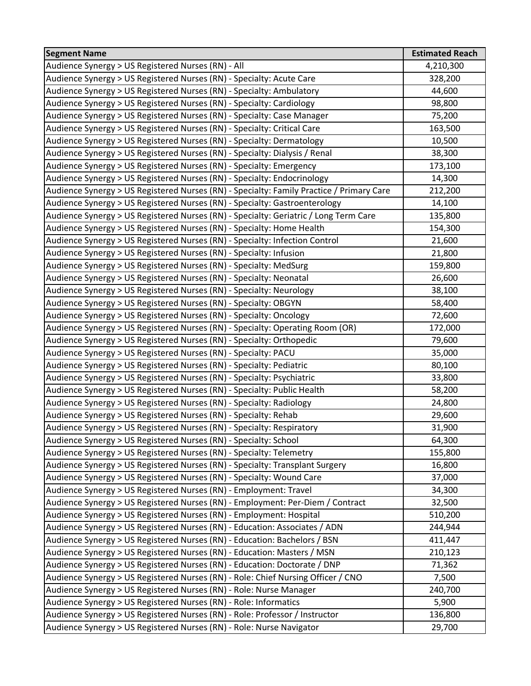| <b>Segment Name</b>                                                                      | <b>Estimated Reach</b> |
|------------------------------------------------------------------------------------------|------------------------|
| Audience Synergy > US Registered Nurses (RN) - All                                       | 4,210,300              |
| Audience Synergy > US Registered Nurses (RN) - Specialty: Acute Care                     | 328,200                |
| Audience Synergy > US Registered Nurses (RN) - Specialty: Ambulatory                     | 44,600                 |
| Audience Synergy > US Registered Nurses (RN) - Specialty: Cardiology                     | 98,800                 |
| Audience Synergy > US Registered Nurses (RN) - Specialty: Case Manager                   | 75,200                 |
| Audience Synergy > US Registered Nurses (RN) - Specialty: Critical Care                  | 163,500                |
| Audience Synergy > US Registered Nurses (RN) - Specialty: Dermatology                    | 10,500                 |
| Audience Synergy > US Registered Nurses (RN) - Specialty: Dialysis / Renal               | 38,300                 |
| Audience Synergy > US Registered Nurses (RN) - Specialty: Emergency                      | 173,100                |
| Audience Synergy > US Registered Nurses (RN) - Specialty: Endocrinology                  | 14,300                 |
| Audience Synergy > US Registered Nurses (RN) - Specialty: Family Practice / Primary Care | 212,200                |
| Audience Synergy > US Registered Nurses (RN) - Specialty: Gastroenterology               | 14,100                 |
| Audience Synergy > US Registered Nurses (RN) - Specialty: Geriatric / Long Term Care     | 135,800                |
| Audience Synergy > US Registered Nurses (RN) - Specialty: Home Health                    | 154,300                |
| Audience Synergy > US Registered Nurses (RN) - Specialty: Infection Control              | 21,600                 |
| Audience Synergy > US Registered Nurses (RN) - Specialty: Infusion                       | 21,800                 |
| Audience Synergy > US Registered Nurses (RN) - Specialty: MedSurg                        | 159,800                |
| Audience Synergy > US Registered Nurses (RN) - Specialty: Neonatal                       | 26,600                 |
| Audience Synergy > US Registered Nurses (RN) - Specialty: Neurology                      | 38,100                 |
| Audience Synergy > US Registered Nurses (RN) - Specialty: OBGYN                          | 58,400                 |
| Audience Synergy > US Registered Nurses (RN) - Specialty: Oncology                       | 72,600                 |
| Audience Synergy > US Registered Nurses (RN) - Specialty: Operating Room (OR)            | 172,000                |
| Audience Synergy > US Registered Nurses (RN) - Specialty: Orthopedic                     | 79,600                 |
| Audience Synergy > US Registered Nurses (RN) - Specialty: PACU                           | 35,000                 |
| Audience Synergy > US Registered Nurses (RN) - Specialty: Pediatric                      | 80,100                 |
| Audience Synergy > US Registered Nurses (RN) - Specialty: Psychiatric                    | 33,800                 |
| Audience Synergy > US Registered Nurses (RN) - Specialty: Public Health                  | 58,200                 |
| Audience Synergy > US Registered Nurses (RN) - Specialty: Radiology                      | 24,800                 |
| Audience Synergy > US Registered Nurses (RN) - Specialty: Rehab                          | 29,600                 |
| Audience Synergy > US Registered Nurses (RN) - Specialty: Respiratory                    | 31,900                 |
| Audience Synergy > US Registered Nurses (RN) - Specialty: School                         | 64,300                 |
| Audience Synergy > US Registered Nurses (RN) - Specialty: Telemetry                      | 155,800                |
| Audience Synergy > US Registered Nurses (RN) - Specialty: Transplant Surgery             | 16,800                 |
| Audience Synergy > US Registered Nurses (RN) - Specialty: Wound Care                     | 37,000                 |
| Audience Synergy > US Registered Nurses (RN) - Employment: Travel                        | 34,300                 |
| Audience Synergy > US Registered Nurses (RN) - Employment: Per-Diem / Contract           | 32,500                 |
| Audience Synergy > US Registered Nurses (RN) - Employment: Hospital                      | 510,200                |
| Audience Synergy > US Registered Nurses (RN) - Education: Associates / ADN               | 244,944                |
| Audience Synergy > US Registered Nurses (RN) - Education: Bachelors / BSN                | 411,447                |
| Audience Synergy > US Registered Nurses (RN) - Education: Masters / MSN                  | 210,123                |
| Audience Synergy > US Registered Nurses (RN) - Education: Doctorate / DNP                | 71,362                 |
| Audience Synergy > US Registered Nurses (RN) - Role: Chief Nursing Officer / CNO         | 7,500                  |
| Audience Synergy > US Registered Nurses (RN) - Role: Nurse Manager                       | 240,700                |
| Audience Synergy > US Registered Nurses (RN) - Role: Informatics                         | 5,900                  |
| Audience Synergy > US Registered Nurses (RN) - Role: Professor / Instructor              | 136,800                |
| Audience Synergy > US Registered Nurses (RN) - Role: Nurse Navigator                     | 29,700                 |